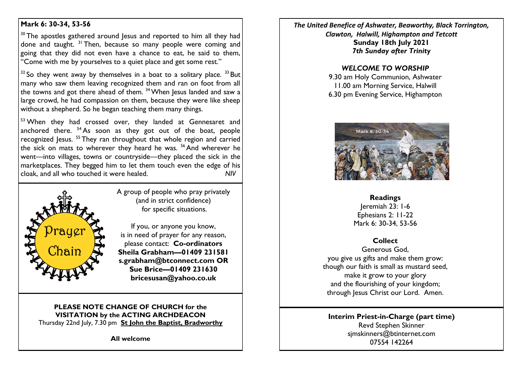# **Mark 6: 30-34, 53-56**

 $30$  The apostles gathered around Jesus and reported to him all they had done and taught,  $31$  Then, because so many people were coming and going that they did not even have a chance to eat, he said to them, "Come with me by yourselves to a quiet place and get some rest."

 $32$  So they went away by themselves in a boat to a solitary place.  $33$  But many who saw them leaving recognized them and ran on foot from all the towns and got there ahead of them.  $34$  When Jesus landed and saw a large crowd, he had compassion on them, because they were like sheep without a shepherd. So he began teaching them many things.

 $53$  When they had crossed over, they landed at Gennesaret and anchored there.  $54$  As soon as they got out of the boat, people recognized Jesus. <sup>55</sup> They ran throughout that whole region and carried the sick on mats to wherever they heard he was.  $56$  And wherever he went—into villages, towns or countryside—they placed the sick in the marketplaces. They begged him to let them touch even the edge of his cloak, and all who touched it were healed. *NIV*



A group of people who pray privately (and in strict confidence) for specific situations.

If you, or anyone you know, is in need of prayer for any reason, please contact: **Co-ordinators Sheila Grabham—01409 231581 s.grabham@btconnect.com OR Sue Brice—01409 231630 bricesusan@yahoo.co.uk**

### **PLEASE NOTE CHANGE OF CHURCH for the VISITATION by the ACTING ARCHDEACON** Thursday 22nd July, 7.30 pm **St John the Baptist, Bradworthy**

**All welcome**

*The United Benefice of Ashwater, Beaworthy, Black Torrington, Clawton, Halwill, Highampton and Tetcott* **Sunday 18th July 2021** *7th Sunday after Trinity*

#### *WELCOME TO WORSHIP*

9.30 am Holy Communion, Ashwater 11.00 am Morning Service, Halwill 6.30 pm Evening Service, Highampton



#### **Readings**

Jeremiah 23: 1-6 Ephesians 2: 11-22 Mark 6: 30-34, 53-56

## **Collect**

Generous God, you give us gifts and make them grow: though our faith is small as mustard seed, make it grow to your glory and the flourishing of your kingdom; through Jesus Christ our Lord. Amen.

### **Interim Priest-in-Charge (part time)** Revd Stephen Skinner [sjmskinners@btinternet.com](mailto:sjmskinners@btinternet.com) 07554 142264